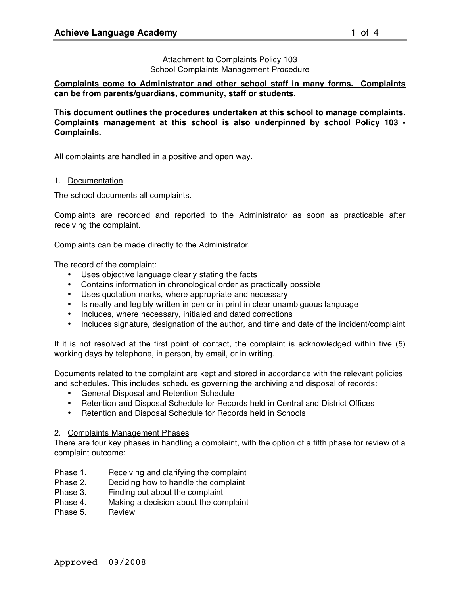#### Attachment to Complaints Policy 103 School Complaints Management Procedure

**Complaints come to Administrator and other school staff in many forms. Complaints can be from parents/guardians, community, staff or students.**

**This document outlines the procedures undertaken at this school to manage complaints. Complaints management at this school is also underpinned by school Policy 103 - Complaints.**

All complaints are handled in a positive and open way.

1. Documentation

The school documents all complaints.

Complaints are recorded and reported to the Administrator as soon as practicable after receiving the complaint.

Complaints can be made directly to the Administrator.

The record of the complaint:

- Uses objective language clearly stating the facts
- Contains information in chronological order as practically possible
- Uses quotation marks, where appropriate and necessary
- Is neatly and legibly written in pen or in print in clear unambiguous language
- Includes, where necessary, initialed and dated corrections
- Includes signature, designation of the author, and time and date of the incident/complaint

If it is not resolved at the first point of contact, the complaint is acknowledged within five (5) working days by telephone, in person, by email, or in writing.

Documents related to the complaint are kept and stored in accordance with the relevant policies and schedules. This includes schedules governing the archiving and disposal of records:

- General Disposal and Retention Schedule
- Retention and Disposal Schedule for Records held in Central and District Offices
- Retention and Disposal Schedule for Records held in Schools

#### 2. Complaints Management Phases

There are four key phases in handling a complaint, with the option of a fifth phase for review of a complaint outcome:

- Phase 1. Receiving and clarifying the complaint
- Phase 2. Deciding how to handle the complaint
- Phase 3. Finding out about the complaint
- Phase 4. Making a decision about the complaint
- Phase 5. Review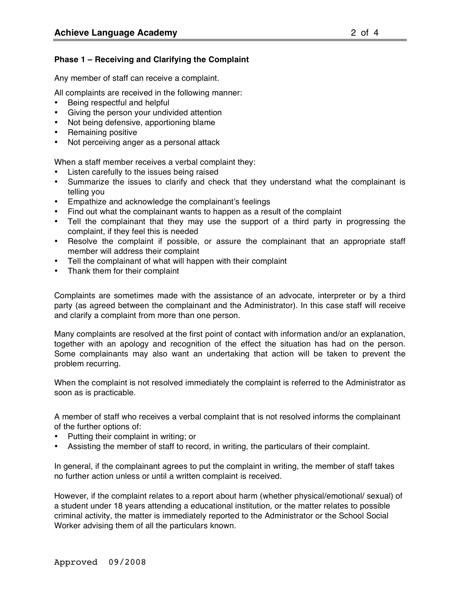## **Phase 1 – Receiving and Clarifying the Complaint**

Any member of staff can receive a complaint.

All complaints are received in the following manner:

- Being respectful and helpful
- Giving the person your undivided attention
- Not being defensive, apportioning blame
- Remaining positive
- Not perceiving anger as a personal attack

When a staff member receives a verbal complaint they:

- Listen carefully to the issues being raised
- Summarize the issues to clarify and check that they understand what the complainant is telling you
- Empathize and acknowledge the complainant's feelings
- Find out what the complainant wants to happen as a result of the complaint
- Tell the complainant that they may use the support of a third party in progressing the complaint, if they feel this is needed
- Resolve the complaint if possible, or assure the complainant that an appropriate staff member will address their complaint
- Tell the complainant of what will happen with their complaint
- Thank them for their complaint

Complaints are sometimes made with the assistance of an advocate, interpreter or by a third party (as agreed between the complainant and the Administrator). In this case staff will receive and clarify a complaint from more than one person.

Many complaints are resolved at the first point of contact with information and/or an explanation, together with an apology and recognition of the effect the situation has had on the person. Some complainants may also want an undertaking that action will be taken to prevent the problem recurring.

When the complaint is not resolved immediately the complaint is referred to the Administrator as soon as is practicable.

A member of staff who receives a verbal complaint that is not resolved informs the complainant of the further options of:

- Putting their complaint in writing; or
- Assisting the member of staff to record, in writing, the particulars of their complaint.

In general, if the complainant agrees to put the complaint in writing, the member of staff takes no further action unless or until a written complaint is received.

However, if the complaint relates to a report about harm (whether physical/emotional/ sexual) of a student under 18 years attending a educational institution, or the matter relates to possible criminal activity, the matter is immediately reported to the Administrator or the School Social Worker advising them of all the particulars known.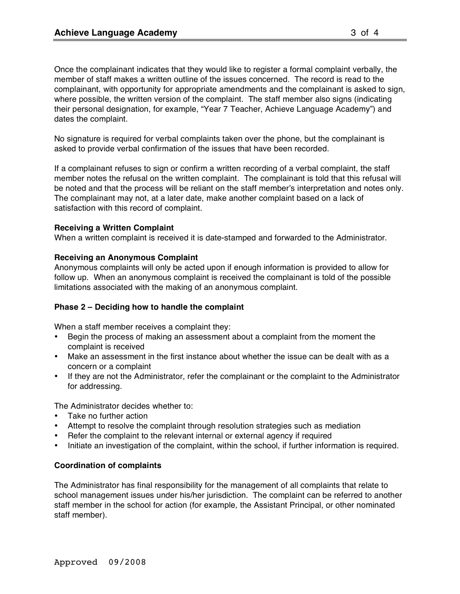Once the complainant indicates that they would like to register a formal complaint verbally, the member of staff makes a written outline of the issues concerned. The record is read to the complainant, with opportunity for appropriate amendments and the complainant is asked to sign, where possible, the written version of the complaint. The staff member also signs (indicating their personal designation, for example, "Year 7 Teacher, Achieve Language Academy") and dates the complaint.

No signature is required for verbal complaints taken over the phone, but the complainant is asked to provide verbal confirmation of the issues that have been recorded.

If a complainant refuses to sign or confirm a written recording of a verbal complaint, the staff member notes the refusal on the written complaint. The complainant is told that this refusal will be noted and that the process will be reliant on the staff member's interpretation and notes only. The complainant may not, at a later date, make another complaint based on a lack of satisfaction with this record of complaint.

# **Receiving a Written Complaint**

When a written complaint is received it is date-stamped and forwarded to the Administrator.

# **Receiving an Anonymous Complaint**

Anonymous complaints will only be acted upon if enough information is provided to allow for follow up. When an anonymous complaint is received the complainant is told of the possible limitations associated with the making of an anonymous complaint.

# **Phase 2 – Deciding how to handle the complaint**

When a staff member receives a complaint they:

- Begin the process of making an assessment about a complaint from the moment the complaint is received
- Make an assessment in the first instance about whether the issue can be dealt with as a concern or a complaint
- If they are not the Administrator, refer the complainant or the complaint to the Administrator for addressing.

The Administrator decides whether to:

- Take no further action
- Attempt to resolve the complaint through resolution strategies such as mediation
- Refer the complaint to the relevant internal or external agency if required
- Initiate an investigation of the complaint, within the school, if further information is required.

# **Coordination of complaints**

The Administrator has final responsibility for the management of all complaints that relate to school management issues under his/her jurisdiction. The complaint can be referred to another staff member in the school for action (for example, the Assistant Principal, or other nominated staff member).